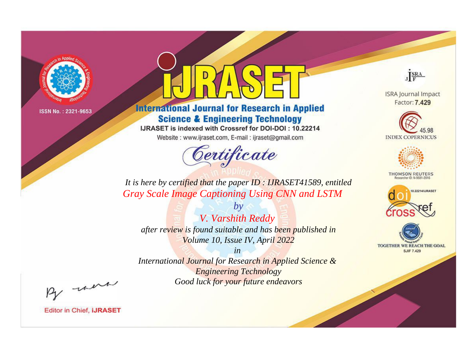

# **International Journal for Research in Applied Science & Engineering Technology**

IJRASET is indexed with Crossref for DOI-DOI: 10.22214

Website: www.ijraset.com, E-mail: ijraset@gmail.com



JERA

**ISRA Journal Impact** Factor: 7.429





**THOMSON REUTERS** 



TOGETHER WE REACH THE GOAL **SJIF 7.429** 

*It is here by certified that the paper ID : IJRASET41589, entitled Gray Scale Image Captioning Using CNN and LSTM*

*by V. Varshith Reddy after review is found suitable and has been published in Volume 10, Issue IV, April 2022*

*in International Journal for Research in Applied Science &* 

*Engineering Technology Good luck for your future endeavors*

By morn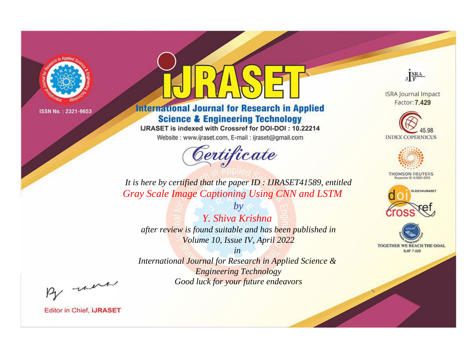

# **International Journal for Research in Applied Science & Engineering Technology**

IJRASET is indexed with Crossref for DOI-DOI: 10.22214

Website: www.ijraset.com, E-mail: ijraset@gmail.com



JERA

**ISRA Journal Impact** Factor: 7.429





**THOMSON REUTERS** 



TOGETHER WE REACH THE GOAL **SJIF 7.429** 

*It is here by certified that the paper ID : IJRASET41589, entitled Gray Scale Image Captioning Using CNN and LSTM*

*Y. Shiva Krishna after review is found suitable and has been published in Volume 10, Issue IV, April 2022*

*by*

*in* 

*International Journal for Research in Applied Science & Engineering Technology Good luck for your future endeavors*

By morn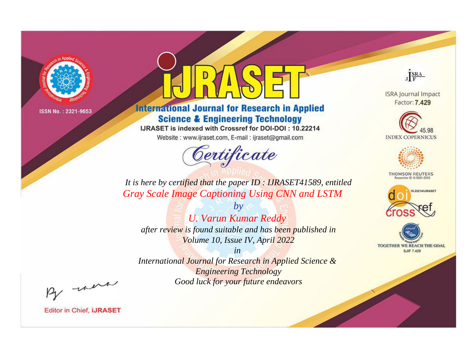

# **International Journal for Research in Applied Science & Engineering Technology**

IJRASET is indexed with Crossref for DOI-DOI: 10.22214

Website: www.ijraset.com, E-mail: ijraset@gmail.com



JERA

**ISRA Journal Impact** Factor: 7.429





**THOMSON REUTERS** 



TOGETHER WE REACH THE GOAL **SJIF 7.429** 

It is here by certified that the paper ID: IJRASET41589, entitled **Gray Scale Image Captioning Using CNN and LSTM** 

 $b\nu$ **U. Varun Kumar Reddy** after review is found suitable and has been published in Volume 10, Issue IV, April 2022

 $in$ International Journal for Research in Applied Science & **Engineering Technology** Good luck for your future endeavors

By morn